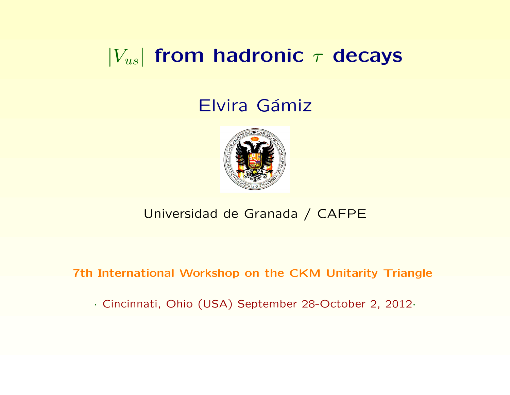## $|V_{us}|$  from hadronic  $\tau$  decays

### Elvira Gámiz



#### Universidad de Granada / CAFPE

7th International Workshop on the CKM Unitarity Triangle

· Cincinnati, Ohio (USA) September 28-October 2, 2012·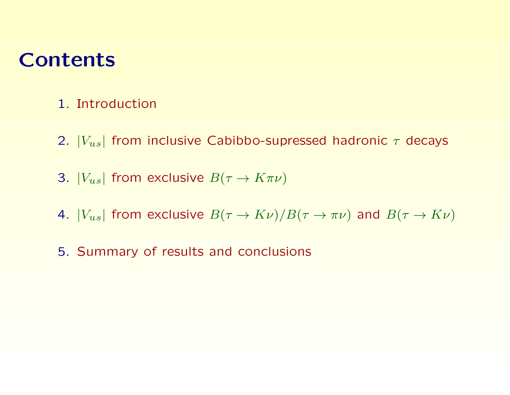## **Contents**

- 1. Introduction
- 2.  $|V_{us}|$  from inclusive Cabibbo-supressed hadronic  $\tau$  decays
- 3.  $|V_{us}|$  from exclusive  $B(\tau \to K\pi\nu)$
- 4.  $|V_{us}|$  from exclusive  $B(\tau \to K\nu)/B(\tau \to \pi\nu)$  and  $B(\tau \to K\nu)$
- 5. Summary of results and conclusions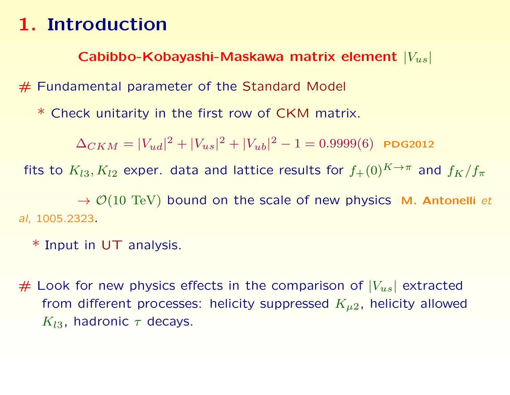Cabibbo-Kobayashi-Maskawa matrix element  $|V_{us}|$ 

# Fundamental parameter of the Standard Model

\* Check unitarity in the first row of CKM matrix.

 $\Delta_{CKM}=|V_{ud}|^2+|V_{us}|^2+|V_{ub}|^2-1=0.9999(6)$  PDG2012

fits to  $K_{l3}, K_{l2}$  exper. data and lattice results for  $f_+(0)^{K\to\pi}$  and  $f_K/f_\pi$ 

 $\rightarrow$   $\mathcal{O}(10 \text{ TeV})$  bound on the scale of new physics M. Antonelli et al, 1005.2323.

\* Input in UT analysis.

 $#$  Look for new physics effects in the comparison of  $|V_{us}|$  extracted from different processes: helicity suppressed  $K_{\mu 2}$ , helicity allowed  $K_{l3}$ , hadronic  $\tau$  decays.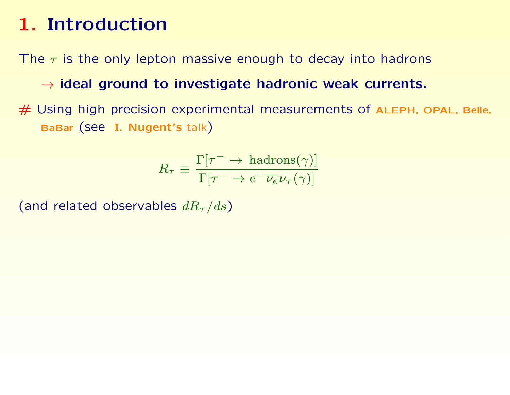The  $\tau$  is the only lepton massive enough to decay into hadrons

 $\rightarrow$  ideal ground to investigate hadronic weak currents.

# Using high precision experimental measurements of ALEPH, OPAL, Belle, BaBar (see I. Nugent's talk)

$$
R_{\tau} \equiv \frac{\Gamma[\tau^{-} \to \text{hadrons}(\gamma)]}{\Gamma[\tau^{-} \to e^{-} \overline{\nu_{e}} \nu_{\tau}(\gamma)]}
$$

(and related observables  $dR_{\tau}/ds$ )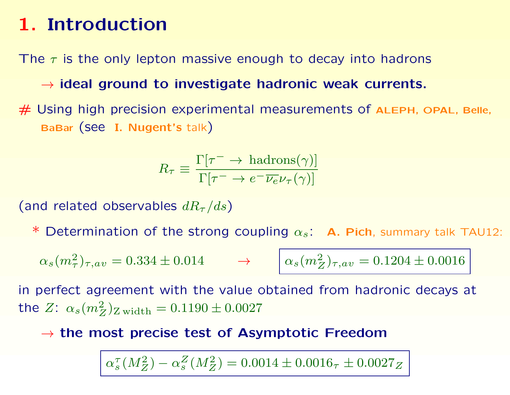The  $\tau$  is the only lepton massive enough to decay into hadrons

 $\rightarrow$  ideal ground to investigate hadronic weak currents.

 $#$  Using high precision experimental measurements of ALEPH, OPAL, Belle, BaBar (see I. Nugent's talk)

$$
R_{\tau} \equiv \frac{\Gamma[\tau^{-} \to \text{hadrons}(\gamma)]}{\Gamma[\tau^{-} \to e^{-} \overline{\nu_{e}} \nu_{\tau}(\gamma)]}
$$

(and related observables  $dR_{\tau}/ds$ )

Determination of the strong coupling  $\alpha_s$ : A. Pich, summary talk TAU12:

 $\alpha_s(m_\tau^2)_{\tau,av} = 0.334 \pm 0.014 \qquad \rightarrow \qquad \Big|\, \alpha_s(m_Z^2)_{\tau,av} = 0.1204 \pm 0.0016$ 

in perfect agreement with the value obtained from hadronic decays at the  $Z\text{: }\alpha_s(m_Z^2)_{\mathrm{Z\,width}}=0.1190\pm0.0027$ 

 $\rightarrow$  the most precise test of Asymptotic Freedom

 $\alpha_s^\tau$  $S_{s}^{\tau}(M_Z^2) - \alpha_s^Z$  $_s^Z(M_Z^2) = 0.0014 \pm 0.0016_\tau \pm 0.0027_Z$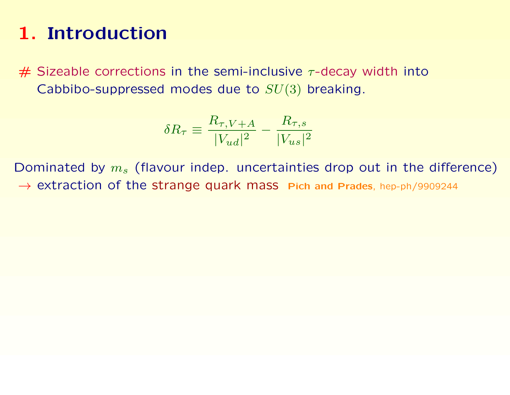$#$  Sizeable corrections in the semi-inclusive  $\tau$ -decay width into Cabbibo-suppressed modes due to  $SU(3)$  breaking.

$$
\delta R_{\tau} \equiv \frac{R_{\tau,V+A}}{|V_{ud}|^2} - \frac{R_{\tau,s}}{|V_{us}|^2}
$$

Dominated by  $m_s$  (flavour indep. uncertainties drop out in the difference)  $\rightarrow$  extraction of the strange quark mass Pich and Prades, hep-ph/9909244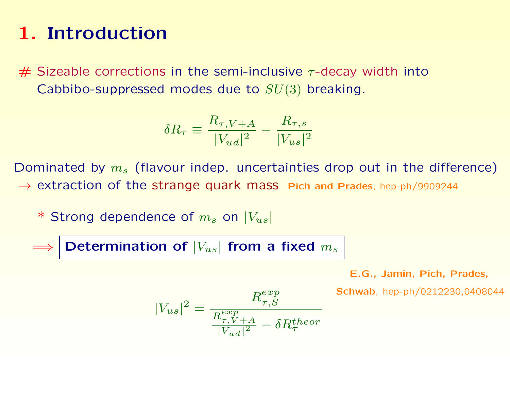$#$  Sizeable corrections in the semi-inclusive  $\tau$ -decay width into Cabbibo-suppressed modes due to  $SU(3)$  breaking.

$$
\delta R_{\tau} \equiv \frac{R_{\tau,V+A}}{|V_{ud}|^2} - \frac{R_{\tau,s}}{|V_{us}|^2}
$$

Dominated by  $m_s$  (flavour indep. uncertainties drop out in the difference) → extraction of the strange quark mass Pich and Prades, hep-ph/9909244

\* Strong dependence of  $m_s$  on  $|V_{us}|$ 

Determination of  $|V_{us}|$  from a fixed  $m_s$ 

E.G., Jamin, Pich, Prades,

Schwab, hep-ph/0212230,0408044

$$
|V_{us}|^2 = \frac{R_{\tau,S}^{exp}}{\frac{R_{\tau,V+A}^{exp}}{|V_{ud}|^2} - \delta R_{\tau}^{theory}}
$$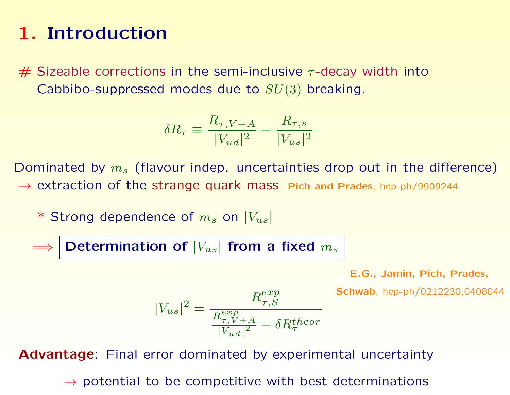$#$  Sizeable corrections in the semi-inclusive  $\tau$ -decay width into Cabbibo-suppressed modes due to  $SU(3)$  breaking.

$$
\delta R_{\tau} \equiv \frac{R_{\tau,V+A}}{|V_{ud}|^2} - \frac{R_{\tau,s}}{|V_{us}|^2}
$$

Dominated by  $m_s$  (flavour indep. uncertainties drop out in the difference) → extraction of the strange quark mass Pich and Prades, hep-ph/9909244

\* Strong dependence of  $m_s$  on  $|V_{us}|$ 

Determination of  $|V_{us}|$  from a fixed  $m_s$ 

E.G., Jamin, Pich, Prades,

Schwab, hep-ph/0212230,0408044

$$
|V_{us}|^2 = \frac{R_{\tau,S}^{exp}}{\frac{R_{\tau,V+A}^{exp}}{|V_{ud}|^2} - \delta R_{\tau}^{theory}}
$$

Advantage: Final error dominated by experimental uncertainty

 $\rightarrow$  potential to be competitive with best determinations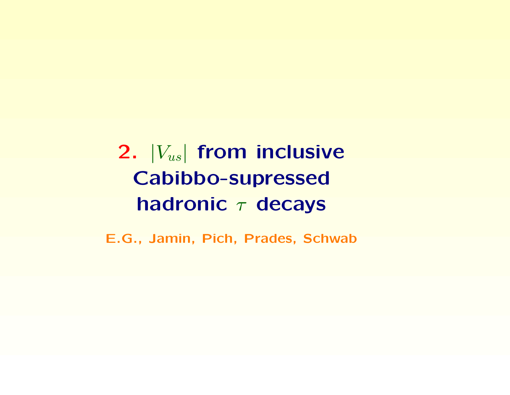2.  $|V_{us}|$  from inclusive Cabibbo-supressed hadronic  $\tau$  decays

E.G., Jamin, Pich, Prades, Schwab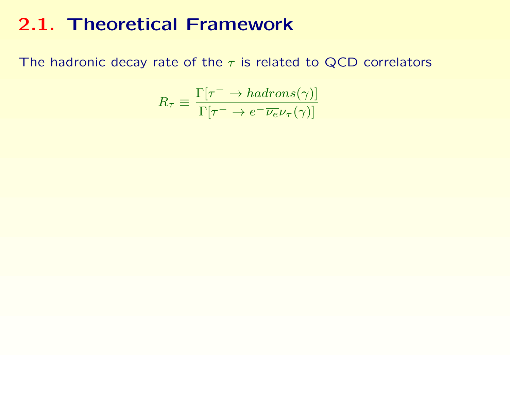The hadronic decay rate of the  $\tau$  is related to QCD correlators

$$
R_{\tau} \equiv \frac{\Gamma[\tau^{-} \to hadrons(\gamma)]}{\Gamma[\tau^{-} \to e^{-}\overline{\nu_{e}}\nu_{\tau}(\gamma)]}
$$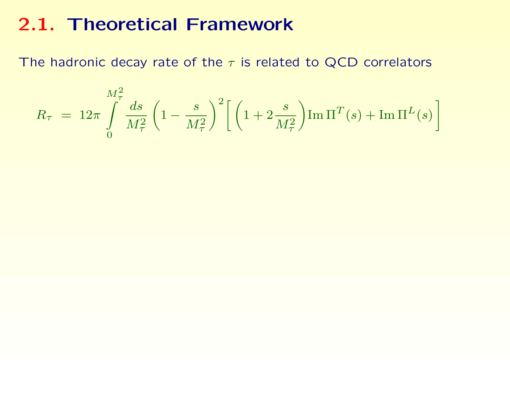The hadronic decay rate of the  $\tau$  is related to QCD correlators

$$
R_{\tau} = 12\pi \int_{0}^{M_{\tau}^{2}} \frac{ds}{M_{\tau}^{2}} \left(1 - \frac{s}{M_{\tau}^{2}}\right)^{2} \left[\left(1 + 2\frac{s}{M_{\tau}^{2}}\right) \text{Im}\,\Pi^{T}(s) + \text{Im}\,\Pi^{L}(s)\right]
$$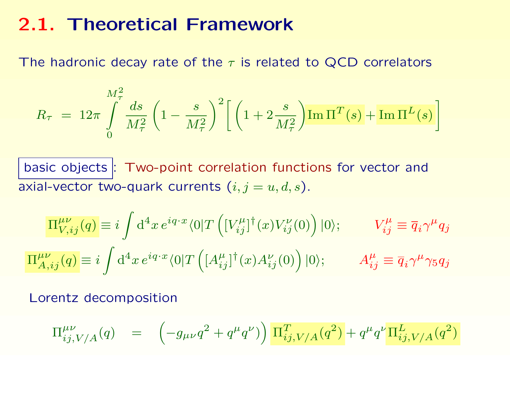The hadronic decay rate of the  $\tau$  is related to QCD correlators

$$
R_{\tau} = 12\pi \int_{0}^{M_{\tau}^{2}} \frac{ds}{M_{\tau}^{2}} \left(1 - \frac{s}{M_{\tau}^{2}}\right)^{2} \left[\left(1 + 2\frac{s}{M_{\tau}^{2}}\right) \text{Im}\,\Pi^{T}(s) + \text{Im}\,\Pi^{L}(s)\right]
$$

basic objects : Two-point correlation functions for vector and axial-vector two-quark currents  $(i, j = u, d, s)$ .

$$
\Pi_{V,ij}^{\mu\nu}(q) \equiv i \int d^4x \, e^{iq \cdot x} \langle 0|T\left( [V_{ij}^{\mu}]^{\dagger}(x) V_{ij}^{\nu}(0) \right) |0\rangle; \qquad V_{ij}^{\mu} \equiv \overline{q}_i \gamma^{\mu} q_j
$$
  

$$
\Pi_{A,ij}^{\mu\nu}(q) \equiv i \int d^4x \, e^{iq \cdot x} \langle 0|T\left( [A_{ij}^{\mu}]^{\dagger}(x) A_{ij}^{\nu}(0) \right) |0\rangle; \qquad A_{ij}^{\mu} \equiv \overline{q}_i \gamma^{\mu} \gamma_5 q_j
$$

Lorentz decomposition

$$
\Pi_{ij,V/A}^{\mu\nu}(q) = \left(-g_{\mu\nu}q^2 + q^{\mu}q^{\nu}\right)\left[\Pi_{ij,V/A}^T(q^2) + q^{\mu}q^{\nu}\Pi_{ij,V/A}^L(q^2)\right]
$$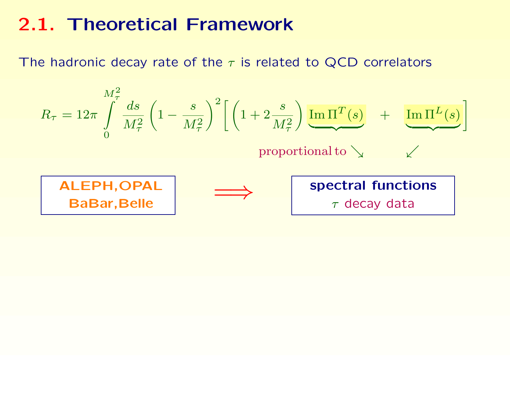The hadronic decay rate of the  $\tau$  is related to QCD correlators

$$
R_{\tau} = 12\pi \int_{0}^{M_{\tau}^{2}} \frac{ds}{M_{\tau}^{2}} \left(1 - \frac{s}{M_{\tau}^{2}}\right)^{2} \left[\left(1 + 2\frac{s}{M_{\tau}^{2}}\right) \frac{\text{Im}\,\Pi^{T}(s)}{\text{proportional to}} + \frac{\text{Im}\,\Pi^{L}(s)}{\text{proportional to}}\right]
$$
  
  
Proportional to  $\sqrt{\frac{\text{ALEPH,OPAL}}{\text{BaBar, Belle}}}$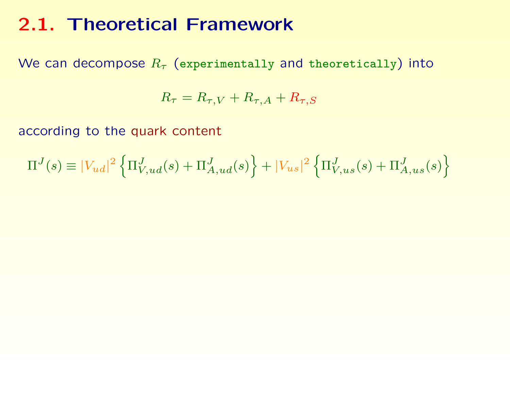We can decompose  $R_{\tau}$  (experimentally and theoretically) into

$$
R_{\tau} = R_{\tau,V} + R_{\tau,A} + R_{\tau,S}
$$

according to the quark content

$$
\Pi^{J}(s) \equiv |V_{ud}|^2 \left\{ \Pi^{J}_{V,ud}(s) + \Pi^{J}_{A,ud}(s) \right\} + |V_{us}|^2 \left\{ \Pi^{J}_{V,us}(s) + \Pi^{J}_{A,us}(s) \right\}
$$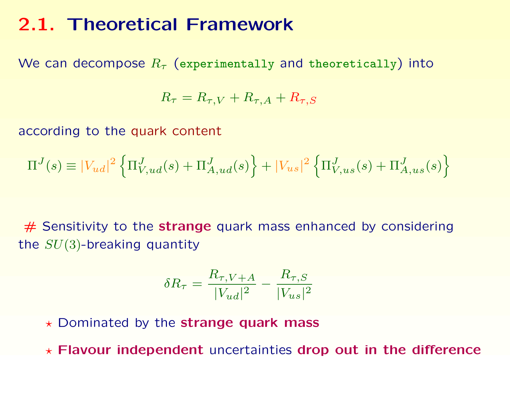We can decompose  $R_{\tau}$  (experimentally and theoretically) into

$$
R_{\tau} = R_{\tau,V} + R_{\tau,A} + R_{\tau,S}
$$

according to the quark content

$$
\Pi^{J}(s) \equiv |V_{ud}|^{2} \left\{ \Pi^{J}_{V,ud}(s) + \Pi^{J}_{A,ud}(s) \right\} + |V_{us}|^{2} \left\{ \Pi^{J}_{V,us}(s) + \Pi^{J}_{A,us}(s) \right\}
$$

 $#$  Sensitivity to the strange quark mass enhanced by considering the  $SU(3)$ -breaking quantity

$$
\delta R_{\tau} = \frac{R_{\tau,V+A}}{|V_{ud}|^2} - \frac{R_{\tau,S}}{|V_{us}|^2}
$$

 $\star$  Dominated by the strange quark mass

 $\star$  Flavour independent uncertainties drop out in the difference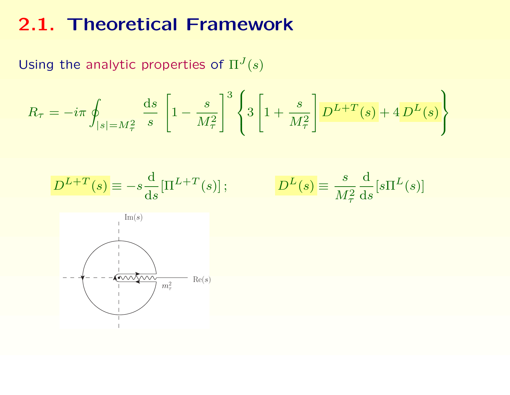Using the analytic properties of  $\Pi^{J}(s)$ 

$$
R_{\tau} = -i\pi \oint_{|s|=M_{\tau}^2} \frac{ds}{s} \left[1 - \frac{s}{M_{\tau}^2}\right]^3 \left\{3\left[1 + \frac{s}{M_{\tau}^2}\right] D^{L+T}(s) + 4 D^{L}(s)\right\}
$$

$$
D^{L+T}(s) \equiv -s \frac{\mathrm{d}}{\mathrm{d}s} [\Pi^{L+T}(s)]; \qquad D^{L}(s) \equiv \frac{s}{M_{\tau}^{2}} \frac{\mathrm{d}}{\mathrm{d}s} [s \Pi^{L}]
$$

 $\left[ \left( s\right) \right]$ 

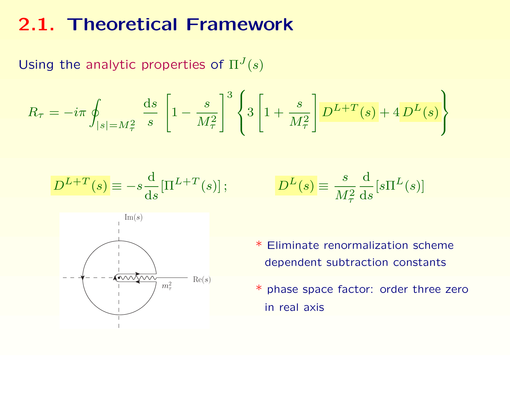Using the analytic properties of  $\Pi^{J}(s)$ 

$$
R_{\tau} = -i\pi \oint_{|s|=M_{\tau}^2} \frac{ds}{s} \left[1 - \frac{s}{M_{\tau}^2}\right]^3 \left\{3\left[1 + \frac{s}{M_{\tau}^2}\right] D^{L+T}(s) + 4 D^{L}(s)\right\}
$$

$$
D^{L+T}(s) \equiv -s \frac{\mathrm{d}}{\mathrm{d}s} [\Pi^{L+T}(s)]
$$

$$
(s) \, ; \qquad \qquad D^L(s) \equiv \frac{s}{M_\tau^2} \frac{\mathrm{d}}{\mathrm{d}s} [s \Pi^L(s)]
$$



- \* Eliminate renormalization scheme dependent subtraction constants
- \* phase space factor: order three zero in real axis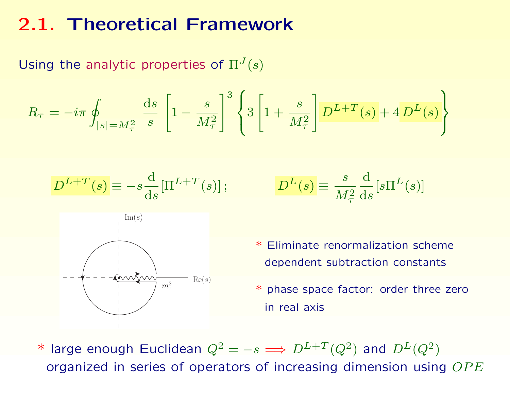Using the analytic properties of  $\Pi^{J}(s)$ 

$$
R_{\tau} = -i\pi \oint_{|s|=M_{\tau}^2} \frac{ds}{s} \left[1 - \frac{s}{M_{\tau}^2}\right]^3 \left\{3\left[1 + \frac{s}{M_{\tau}^2}\right] D^{L+T}(s) + 4 D^{L}(s)\right\}
$$

$$
D^{L+T}(s) \equiv -s \frac{\mathrm{d}}{\mathrm{d}s} [\Pi^{L+T}(s)]
$$





\* Eliminate renormalization scheme dependent subtraction constants

\* phase space factor: order three zero in real axis

\* large enough Euclidean  $Q^2 = -s \Longrightarrow D^{L+T}(Q^2)$  and  $D^{L}(Q^2)$ organized in series of operators of increasing dimension using  $OPE$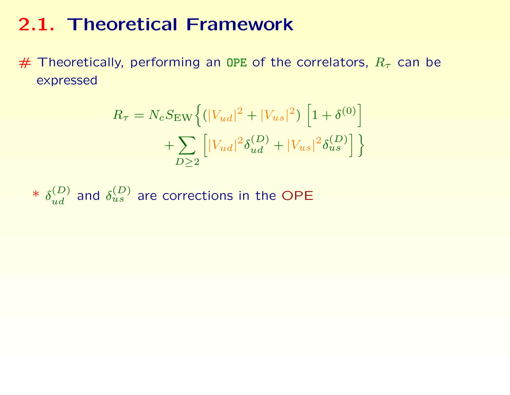# Theoretically, performing an OPE of the correlators,  $R_{\tau}$  can be expressed

$$
R_{\tau} = N_c S_{\text{EW}} \left\{ (|V_{ud}|^2 + |V_{us}|^2) \left[ 1 + \delta^{(0)} \right] + \sum_{D \ge 2} \left[ |V_{ud}|^2 \delta_{ud}^{(D)} + |V_{us}|^2 \delta_{us}^{(D)} \right] \right\}
$$

\* 
$$
\delta_{ud}^{(D)}
$$
 and  $\delta_{us}^{(D)}$  are corrections in the OPE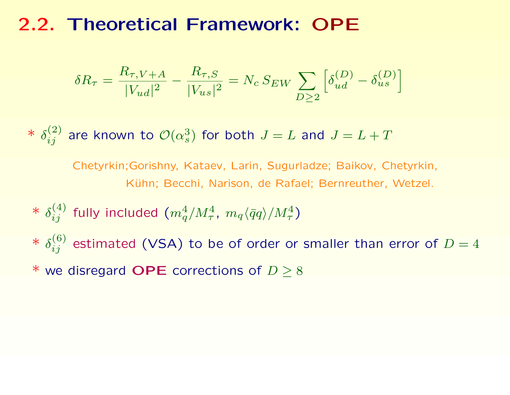## 2.2. Theoretical Framework: OPE

$$
\delta R_{\tau} = \frac{R_{\tau,V+A}}{|V_{ud}|^2} - \frac{R_{\tau,S}}{|V_{us}|^2} = N_c \, S_{EW} \sum_{D \ge 2} \left[ \delta_{ud}^{(D)} - \delta_{us}^{(D)} \right]
$$

 $*$   $\delta_{ij}^{(2)}$  are known to  ${\cal O}(\alpha_s^3)$  $\binom{3}{s}$  for both  $J=L$  and  $J=L+T$ 

> Chetyrkin;Gorishny, Kataev, Larin, Sugurladze; Baikov, Chetyrkin, Kühn; Becchi, Narison, de Rafael; Bernreuther, Wetzel.

- $*\; \delta^{(4)}_{ij}$  fully included  $(m_q^4/M_\tau^4,\; m_q \langle \bar{q} q \rangle/M_\tau^4)$
- $*\; \delta^{(6)}_{ij}$  estimated (VSA) to be of order or smaller than error of  $D=4$
- \* we disregard OPE corrections of  $D \geq 8$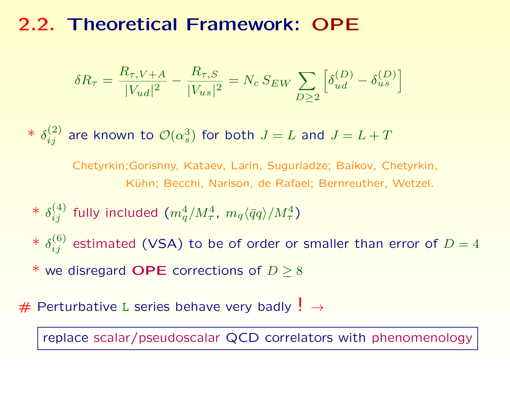## 2.2. Theoretical Framework: OPE

$$
\delta R_{\tau} = \frac{R_{\tau,V+A}}{|V_{ud}|^2} - \frac{R_{\tau,S}}{|V_{us}|^2} = N_c \, S_{EW} \sum_{D \ge 2} \left[ \delta_{ud}^{(D)} - \delta_{us}^{(D)} \right]
$$

 $*$   $\delta_{ij}^{(2)}$  are known to  ${\cal O}(\alpha_s^3)$  $\binom{3}{s}$  for both  $J=L$  and  $J=L+T$ 

> Chetyrkin;Gorishny, Kataev, Larin, Sugurladze; Baikov, Chetyrkin, Kühn; Becchi, Narison, de Rafael; Bernreuther, Wetzel.

- $*\; \delta^{(4)}_{ij}$  fully included  $(m_q^4/M_\tau^4,\; m_q \langle \bar{q} q \rangle/M_\tau^4)$
- $*\; \delta^{(6)}_{ij}$  estimated (VSA) to be of order or smaller than error of  $D=4$
- \* we disregard OPE corrections of  $D \geq 8$
- # Perturbative L series behave very badly  $! \rightarrow$

replace scalar/pseudoscalar QCD correlators with phenomenology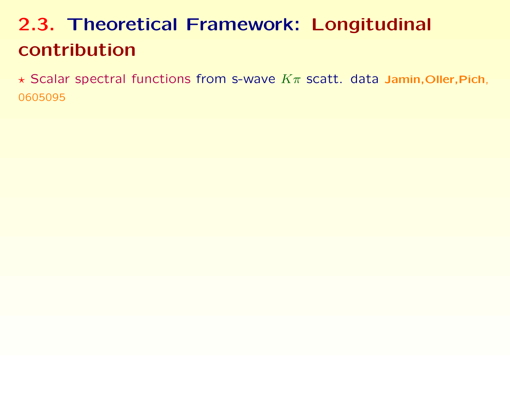# 2.3. Theoretical Framework: Longitudinal contribution

 $\star$  Scalar spectral functions from s-wave  $K\pi$  scatt. data Jamin, Oller, Pich, 0605095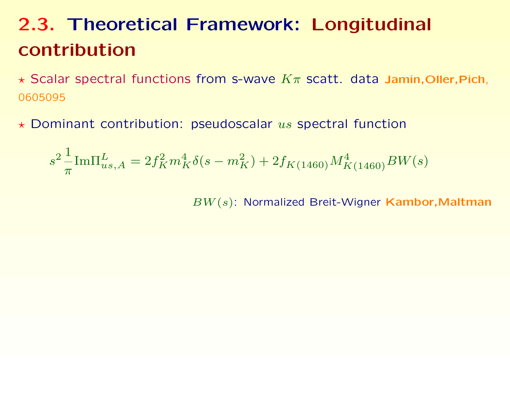# 2.3. Theoretical Framework: Longitudinal contribution

 $\star$  Scalar spectral functions from s-wave  $K\pi$  scatt. data Jamin, Oller, Pich, 0605095

 $\star$  Dominant contribution: pseudoscalar us spectral function

$$
s^2 \frac{1}{\pi} \text{Im} \Pi_{us,A}^L = 2 f_K^2 m_K^4 \delta(s-m_K^2) + 2 f_{K(1460)} M_{K(1460)}^4 BW(s)
$$

BW(s): Normalized Breit-Wigner Kambor,Maltman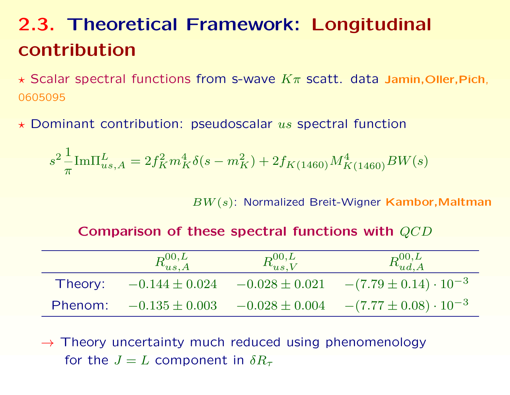# 2.3. Theoretical Framework: Longitudinal contribution

 $\star$  Scalar spectral functions from s-wave  $K\pi$  scatt. data Jamin, Oller, Pich, 0605095

 $\star$  Dominant contribution: pseudoscalar us spectral function

$$
s^2 \frac{1}{\pi} \text{Im} \Pi_{us,A}^L = 2f_K^2 m_K^4 \delta(s - m_K^2) + 2f_{K(1460)} M_{K(1460)}^4 BW(s)
$$

BW(s): Normalized Breit-Wigner Kambor,Maltman

#### Comparison of these spectral functions with QCD

|         | $\boxed{R_{us,A}^{00,L}}$ | $\vert R_{us,V}^{00,L}\vert$ | $R_{ud,A}^{00,L}$                |
|---------|---------------------------|------------------------------|----------------------------------|
| Theory: | $-0.144 \pm 0.024$        | $-0.028 \pm 0.021$           | $-(7.79 \pm 0.14) \cdot 10^{-3}$ |
| Phenom: | $-0.135 \pm 0.003$        | $-0.028 \pm 0.004$           | $[-(7.77\pm0.08)\cdot10^{-3}]$   |

 $\rightarrow$  Theory uncertainty much reduced using phenomenology for the  $J = L$  component in  $\delta R_{\tau}$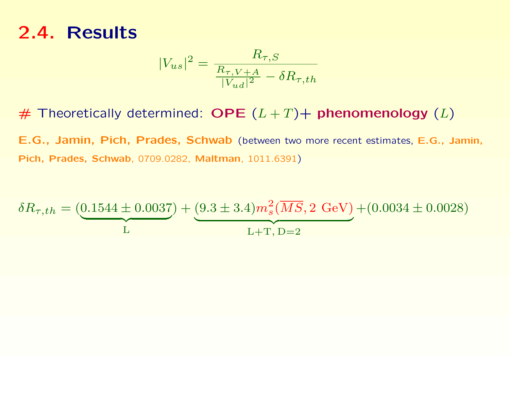$$
|V_{us}|^2 = \frac{R_{\tau,S}}{\frac{R_{\tau,V+A}}{|V_{ud}|^2} - \delta R_{\tau,th}}
$$

# Theoretically determined: OPE  $(L+T)+$  phenomenology  $(L)$ 

E.G., Jamin, Pich, Prades, Schwab (between two more recent estimates, E.G., Jamin, Pich, Prades, Schwab, 0709.0282, Maltman, 1011.6391)

$$
\delta R_{\tau,th} = (\underbrace{0.1544 \pm 0.0037}_{\text{L}}) + (\underbrace{9.3 \pm 3.4}_{\text{L+T, D=2}}) m_s^2(\overline{MS}, 2 \text{ GeV}) + (0.0034 \pm 0.0028)
$$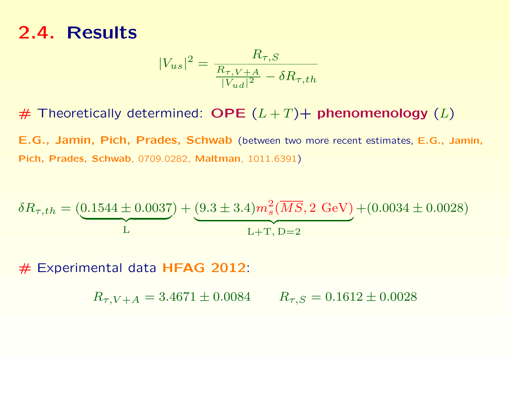$$
|V_{us}|^2 = \frac{R_{\tau, S}}{\frac{R_{\tau, V+A}}{|V_{ud}|^2} - \delta R_{\tau, th}}
$$

# Theoretically determined: OPE  $(L + T)$  phenomenology  $(L)$ 

E.G., Jamin, Pich, Prades, Schwab (between two more recent estimates, E.G., Jamin, Pich, Prades, Schwab, 0709.0282, Maltman, 1011.6391)

$$
\delta R_{\tau,th} = (\underbrace{0.1544 \pm 0.0037}_{\text{L}}) + (\underbrace{9.3 \pm 3.4}_{\text{L+T, D=2}}) m_s^2(\overline{MS}, 2 \text{ GeV}) + (0.0034 \pm 0.0028)
$$

 $#$  Experimental data HFAG 2012:

 $R_{\tau,V+A} = 3.4671 \pm 0.0084$   $R_{\tau,S} = 0.1612 \pm 0.0028$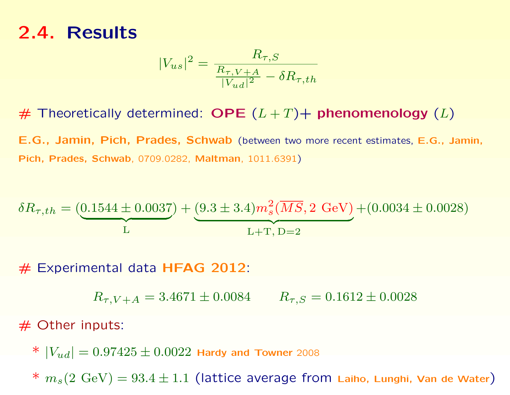$$
|V_{us}|^2 = \frac{R_{\tau,S}}{\frac{R_{\tau,V+A}}{|V_{ud}|^2} - \delta R_{\tau,th}}
$$

# Theoretically determined: OPE  $(L + T)$  phenomenology  $(L)$ 

E.G., Jamin, Pich, Prades, Schwab (between two more recent estimates, E.G., Jamin, Pich, Prades, Schwab, 0709.0282, Maltman, 1011.6391)

$$
\delta R_{\tau,th} = (\underbrace{0.1544 \pm 0.0037}_{\text{L}}) + (\underbrace{9.3 \pm 3.4}_{\text{L+T, D=2}}) m_s^2(\overline{MS}, 2 \text{ GeV}) + (0.0034 \pm 0.0028)
$$

# Experimental data HFAG 2012:

 $R_{\tau,V+A} = 3.4671 \pm 0.0084$   $R_{\tau,S} = 0.1612 \pm 0.0028$ 

 $#$  Other inputs:

\*  $|V_{ud}| = 0.97425 \pm 0.0022$  Hardy and Towner 2008

\*  $m_s(2 \text{ GeV}) = 93.4 \pm 1.1$  (lattice average from Laiho, Lunghi, Van de Water)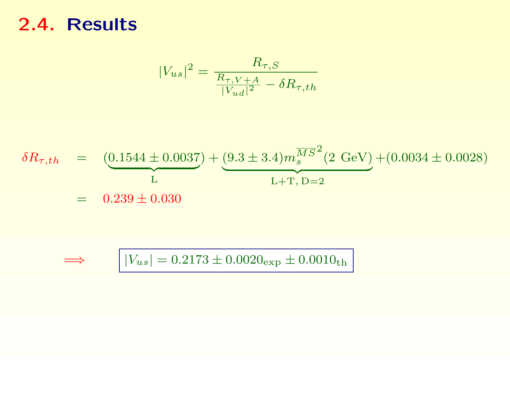$$
|V_{us}|^2 = \frac{R_{\tau,S}}{\frac{R_{\tau,V+A}}{|V_{ud}|^2} - \delta R_{\tau,th}}
$$

$$
\delta R_{\tau,th} = \underbrace{(0.1544 \pm 0.0037)}_{\text{L}} + \underbrace{(9.3 \pm 3.4) m_s^{\overline{MS}^2} (2 \text{ GeV})}_{\text{L} + \text{T}, \text{D} = 2} + (0.0034 \pm 0.0028)
$$

$$
\implies | |V_{us}| = 0.2173 \pm 0.0020_{\text{exp}} \pm 0.0010_{\text{th}}
$$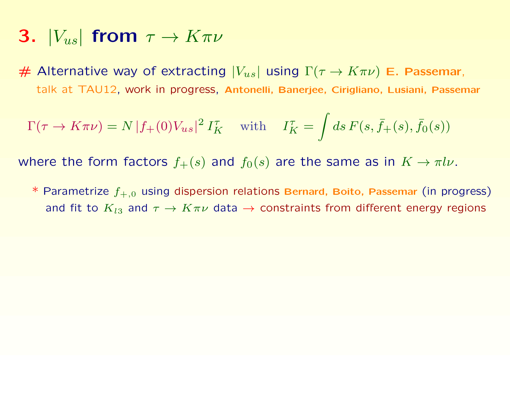- 3.  $|V_{us}|$  from  $\tau \rightarrow K \pi \nu$
- $#$  Alternative way of extracting  $|V_{us}|$  using  $\Gamma(\tau \to K \pi \nu)$  E. Passemar, talk at TAU12, work in progress, Antonelli, Banerjee, Cirigliano, Lusiani, Passemar

$$
\Gamma(\tau \to K\pi\nu) = N |f_+(0)V_{us}|^2 I_K^{\tau} \quad \text{with} \quad I_K^{\tau} = \int ds \, F(s, \bar{f}_+(s), \bar{f}_0(s))
$$

where the form factors  $f_+(s)$  and  $f_0(s)$  are the same as in  $K \to \pi l \nu$ .

 $^*$  Parametrize  $f_{+,0}$  using dispersion relations Bernard, Boito, Passemar (in progress) and fit to  $K_{l3}$  and  $\tau \to K \pi \nu$  data  $\to$  constraints from different energy regions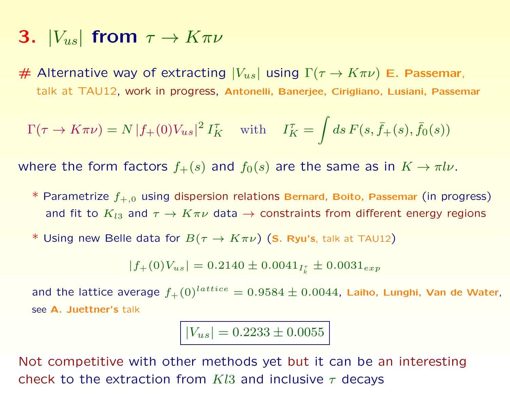- 3.  $|V_{us}|$  from  $\tau \rightarrow K \pi \nu$
- $#$  Alternative way of extracting  $|V_{us}|$  using  $\Gamma(\tau \to K \pi \nu)$  E. Passemar, talk at TAU12, work in progress, Antonelli, Banerjee, Cirigliano, Lusiani, Passemar

$$
\Gamma(\tau \to K\pi\nu) = N |f_+(0)V_{us}|^2 I_K^{\tau} \quad \text{with} \quad I_K^{\tau} = \int ds \, F(s, \bar{f}_+(s), \bar{f}_0(s))
$$

where the form factors  $f_+(s)$  and  $f_0(s)$  are the same as in  $K \to \pi l \nu$ .

- $*$  Parametrize  $f_{+,0}$  using dispersion relations Bernard, Boito, Passemar (in progress) and fit to  $K_{l3}$  and  $\tau \to K \pi \nu$  data  $\to$  constraints from different energy regions
- \* Using new Belle data for  $B(\tau \to K \pi \nu)$  (S. Ryu's, talk at TAU12)

 $|f_{+}(0)V_{us}| = 0.2140 \pm 0.0041_{I_{k}^{\tau}} \pm 0.0031_{exp}$ 

and the lattice average  $f_+(0)^{lattice} = 0.9584 \pm 0.0044$ , Laiho, Lunghi, Van de Water, see A. Juettner's talk

 $|V_{us}| = 0.2233 \pm 0.0055$ 

Not competitive with other methods yet but it can be an interesting check to the extraction from  $Kl3$  and inclusive  $\tau$  decays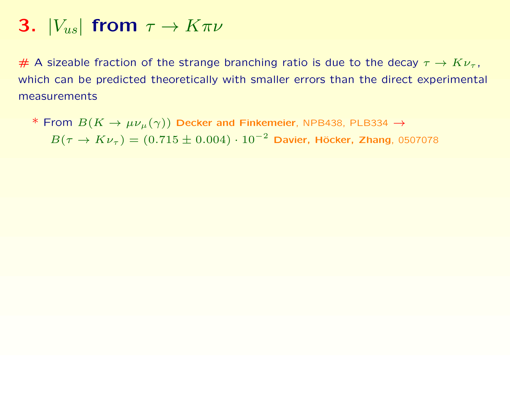# A sizeable fraction of the strange branching ratio is due to the decay  $\tau \to K \nu_{\tau}$ , which can be predicted theoretically with smaller errors than the direct experimental measurements

\* From  $B(K \to \mu\nu_\mu(\gamma))$  Decker and Finkemeier, NPB438, PLB334  $\to$  $B(\tau \to K \nu_{\tau}) = (0.715 \pm 0.004) \cdot 10^{-2}$  Davier, Höcker, Zhang, 0507078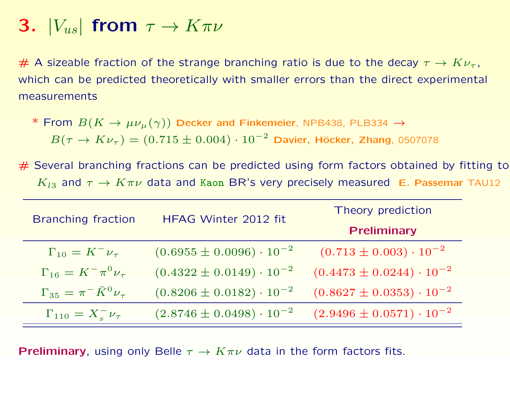# A sizeable fraction of the strange branching ratio is due to the decay  $\tau \to K \nu_{\tau}$ , which can be predicted theoretically with smaller errors than the direct experimental measurements

- \* From  $B(K \to \mu\nu_{\mu}(\gamma))$  Decker and Finkemeier, NPB438, PLB334  $\to$  $B(\tau \to K \nu_{\tau}) = (0.715 \pm 0.004) \cdot 10^{-2}$  Davier, Höcker, Zhang, 0507078
- $#$  Several branching fractions can be predicted using form factors obtained by fitting to  $K_{l3}$  and  $\tau \to K \pi \nu$  data and Kaon BR's very precisely measured E. Passemar TAU12

| <b>Branching fraction</b>                | HFAG Winter 2012 fit                | Theory prediction                   |
|------------------------------------------|-------------------------------------|-------------------------------------|
|                                          |                                     | <b>Preliminary</b>                  |
| $\Gamma_{10} = K^- \nu_\tau$             | $(0.6955 \pm 0.0096) \cdot 10^{-2}$ | $(0.713 \pm 0.003) \cdot 10^{-2}$   |
| $\Gamma_{16} = K^- \pi^0 \nu_\tau$       | $(0.4322 \pm 0.0149) \cdot 10^{-2}$ | $(0.4473 \pm 0.0244) \cdot 10^{-2}$ |
| $\Gamma_{35} = \pi^- \bar{K}^0 \nu_\tau$ | $(0.8206 \pm 0.0182) \cdot 10^{-2}$ | $(0.8627 \pm 0.0353) \cdot 10^{-2}$ |
| $\Gamma_{110} = X_{s}^{-} \nu_{\tau}$    | $(2.8746 \pm 0.0498) \cdot 10^{-2}$ | $(2.9496 \pm 0.0571) \cdot 10^{-2}$ |

**Preliminary**, using only Belle  $\tau \to K \pi \nu$  data in the form factors fits.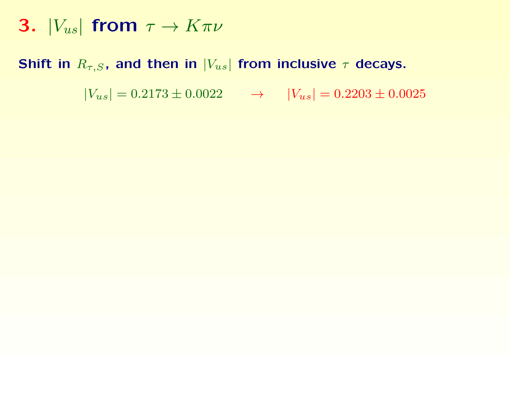#### Shift in  $R_{\tau,S}$ , and then in  $|V_{us}|$  from inclusive  $\tau$  decays.

 $|V_{us}| = 0.2173 \pm 0.0022 \rightarrow |V_{us}| = 0.2203 \pm 0.0025$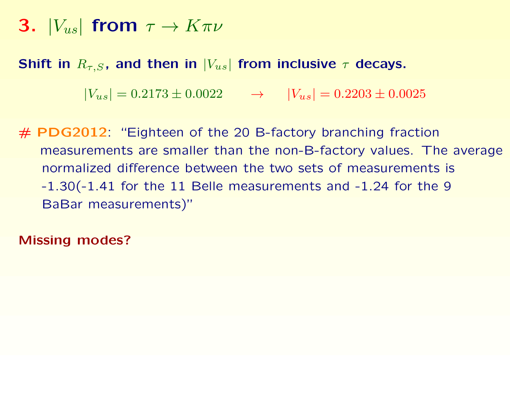Shift in  $R_{\tau,S}$ , and then in  $|V_{us}|$  from inclusive  $\tau$  decays.

 $|V_{us}| = 0.2173 \pm 0.0022 \rightarrow |V_{us}| = 0.2203 \pm 0.0025$ 

 $#$  PDG2012: "Eighteen of the 20 B-factory branching fraction measurements are smaller than the non-B-factory values. The average normalized difference between the two sets of measurements is -1.30(-1.41 for the 11 Belle measurements and -1.24 for the 9 BaBar measurements)"

Missing modes?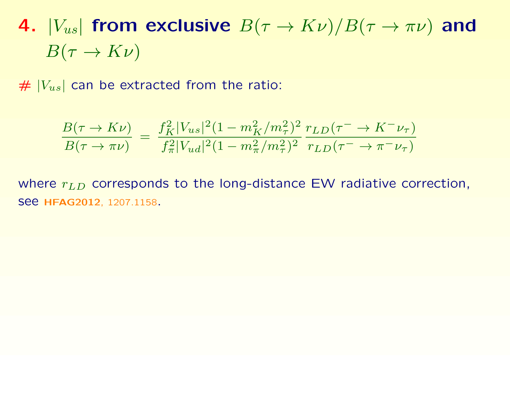$# |V_{us}|$  can be extracted from the ratio:

$$
\frac{B(\tau \to K\nu)}{B(\tau \to \pi\nu)} = \frac{f_K^2 |V_{us}|^2 (1 - m_K^2 / m_\tau^2)^2}{f_\pi^2 |V_{ud}|^2 (1 - m_\pi^2 / m_\tau^2)^2} \frac{r_{LD}(\tau \to K^- \nu_\tau)}{r_{LD}(\tau \to \pi^- \nu_\tau)}
$$

where  $r_{LD}$  corresponds to the long-distance EW radiative correction, see HFAG2012, 1207.1158.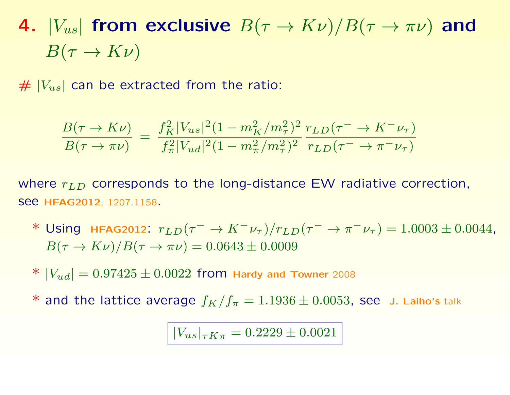$# |V_{us}|$  can be extracted from the ratio:

$$
\frac{B(\tau \to K\nu)}{B(\tau \to \pi\nu)} = \frac{f_K^2 |V_{us}|^2 (1 - m_K^2 / m_\tau^2)^2}{f_\pi^2 |V_{ud}|^2 (1 - m_\pi^2 / m_\tau^2)^2} \frac{r_{LD}(\tau \to K^- \nu_\tau)}{r_{LD}(\tau \to \pi^- \nu_\tau)}
$$

where  $r_{LD}$  corresponds to the long-distance EW radiative correction, see HFAG2012, 1207.1158.

\* Using HFAG2012:  $r_{LD}(\tau^{-} \to K^{-} \nu_{\tau})/r_{LD}(\tau^{-} \to \pi^{-} \nu_{\tau}) = 1.0003 \pm 0.0044$ ,  $B(\tau \to K\nu)/B(\tau \to \pi\nu) = 0.0643 \pm 0.0009$ 

\*  $|V_{ud}| = 0.97425 \pm 0.0022$  from Hardy and Towner 2008

\* and the lattice average  $f_K/f_\pi = 1.1936 \pm 0.0053$ , see J. Laiho's talk

 $|V_{us}|_{\tau K \pi} = 0.2229 \pm 0.0021$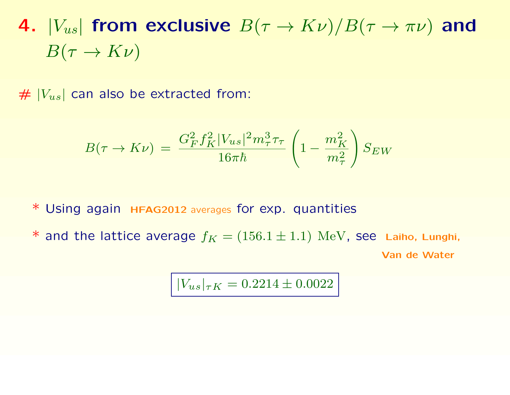$# |V_{us}|$  can also be extracted from:

$$
B(\tau \to K\nu) \,=\, \frac{G_F^2 f_K^2 |V_{us}|^2 m_\tau^3 \tau_\tau}{16 \pi \hbar} \left(1-\frac{m_K^2}{m_\tau^2}\right) S_{EW}
$$

\* Using again HFAG2012 averages for exp. quantities

\* and the lattice average  $f_K = (156.1 \pm 1.1)$   $\text{MeV}$ , see Laiho, Lunghi, Van de Water

$$
|V_{us}|_{\tau K} = 0.2214 \pm 0.0022
$$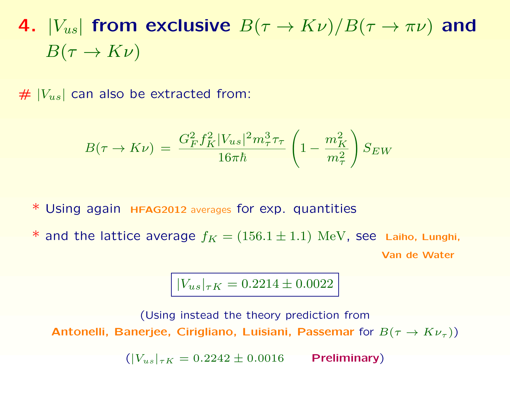$# |V_{us}|$  can also be extracted from:

$$
B(\tau \to K\nu) \,=\, \frac{G_F^2 f_K^2 |V_{us}|^2 m_\tau^3 \tau_\tau}{16 \pi \hbar} \left(1-\frac{m_K^2}{m_\tau^2}\right) S_{EW}
$$

\* Using again HFAG2012 averages for exp. quantities

\* and the lattice average  $f_K = (156.1 \pm 1.1)$   $\text{MeV}$ , see Laiho, Lunghi, Van de Water

$$
|V_{us}|_{\tau K} = 0.2214 \pm 0.0022
$$

(Using instead the theory prediction from Antonelli, Banerjee, Cirigliano, Luisiani, Passemar for  $B(\tau\to K\nu_\tau))$ 

 $(|V_{us}|_{\tau K} = 0.2242 \pm 0.0016$  Preliminary)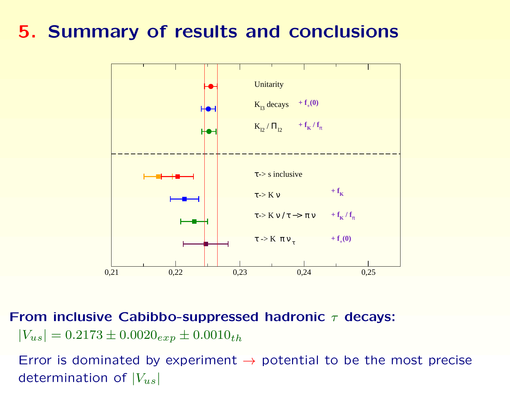## 5. Summary of results and conclusions



From inclusive Cabibbo-suppressed hadronic  $\tau$  decays:  $|V_{us}| = 0.2173 \pm 0.0020_{exp} \pm 0.0010_{th}$ 

Error is dominated by experiment  $\rightarrow$  potential to be the most precise determination of  $|V_{us}|$